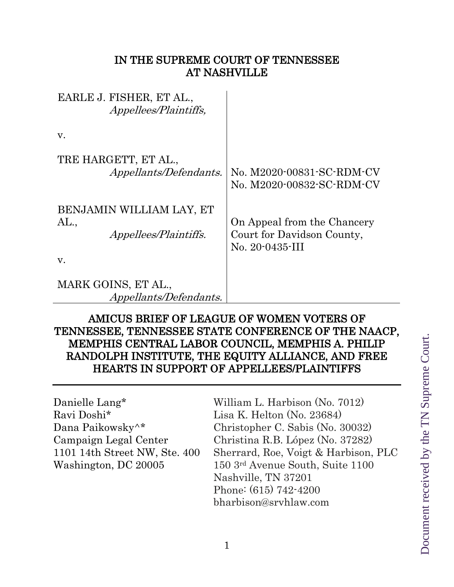### IN THE SUPREME COURT OF TENNESSEE AT NASHVILLE

EARLE J. FISHER, ET AL., Appellees/Plaintiffs, v. TRE HARGETT, ET AL., Appellants/Defendants. BENJAMIN WILLIAM LAY, ET AL., Appellees/Plaintiffs. v. MARK GOINS, ET AL., Appellants/Defendants. No. M2020-00831-SC-RDM-CV No. M2020-00832-SC-RDM-CV On Appeal from the Chancery Court for Davidson County, No. 20-0435-III

## AMICUS BRIEF OF LEAGUE OF WOMEN VOTERS OF TENNESSEE, TENNESSEE STATE CONFERENCE OF THE NAACP, MEMPHIS CENTRAL LABOR COUNCIL, MEMPHIS A. PHILIP RANDOLPH INSTITUTE, THE EQUITY ALLIANCE, AND FREE HEARTS IN SUPPORT OF APPELLEES/PLAINTIFFS

Ravi Doshi\* Lisa K. Helton (No. 23684)

Danielle Lang<sup>\*</sup> William L. Harbison (No. 7012) Dana Paikowsky^\* Christopher C. Sabis (No. 30032) Campaign Legal Center Christina R.B. López (No. 37282) 1101 14th Street NW, Ste. 400 Sherrard, Roe, Voigt & Harbison, PLC Washington, DC 20005 150 3rd Avenue South, Suite 1100 Nashville, TN 37201 Phone: (615) 742-4200 bharbison@srvhlaw.com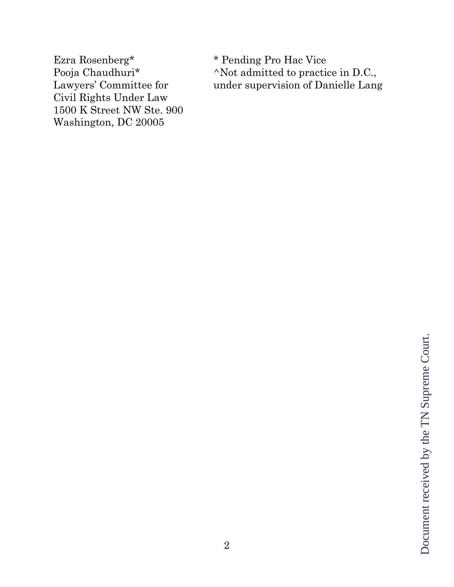Ezra Rosenberg\* \* Pending Pro Hac Vice<br>Pooja Chaudhuri\* \* ^Not admitted to practi Civil Rights Under Law 1500 K Street NW Ste. 900 Washington, DC 20005

 $^{\wedge}$ Not admitted to practice in D.C., Lawyers' Committee for under supervision of Danielle Lang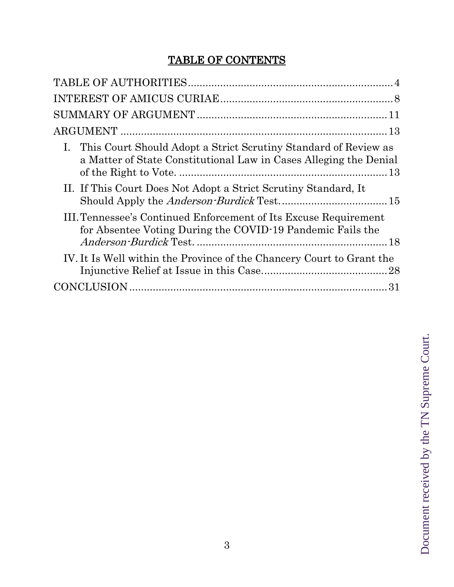# TABLE OF CONTENTS

| This Court Should Adopt a Strict Scrutiny Standard of Review as<br>a Matter of State Constitutional Law in Cases Alleging the Denial |
|--------------------------------------------------------------------------------------------------------------------------------------|
| II. If This Court Does Not Adopt a Strict Scrutiny Standard, It                                                                      |
| III. Tennessee's Continued Enforcement of Its Excuse Requirement<br>for Absentee Voting During the COVID-19 Pandemic Fails the       |
| IV. It Is Well within the Province of the Chancery Court to Grant the                                                                |
|                                                                                                                                      |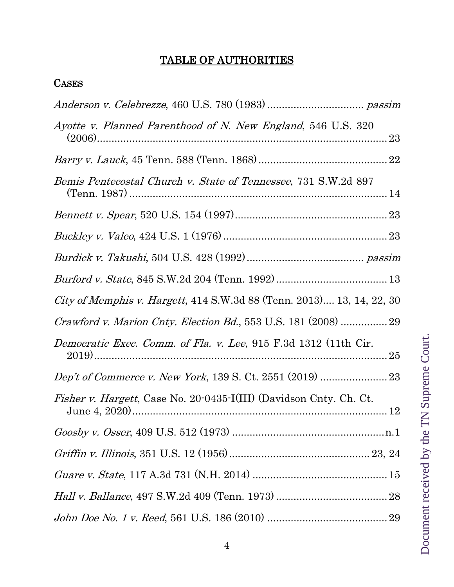# TABLE OF AUTHORITIES

## <span id="page-3-0"></span>**CASES**

| Ayotte v. Planned Parenthood of N. New England, 546 U.S. 320<br>23            |  |
|-------------------------------------------------------------------------------|--|
|                                                                               |  |
| <i>Bemis Pentecostal Church v. State of Tennessee, 731 S.W.2d 897</i>         |  |
|                                                                               |  |
|                                                                               |  |
|                                                                               |  |
|                                                                               |  |
| <i>City of Memphis v. Hargett</i> , 414 S.W.3d 88 (Tenn. 2013) 13, 14, 22, 30 |  |
|                                                                               |  |
| Democratic Exec. Comm. of Fla. v. Lee, 915 F.3d 1312 (11th Cir.<br>25         |  |
|                                                                               |  |
| <i>Fisher v. Hargett</i> , Case No. 20-0435-I(III) (Davidson Cnty. Ch. Ct.    |  |
|                                                                               |  |
|                                                                               |  |
|                                                                               |  |
|                                                                               |  |
|                                                                               |  |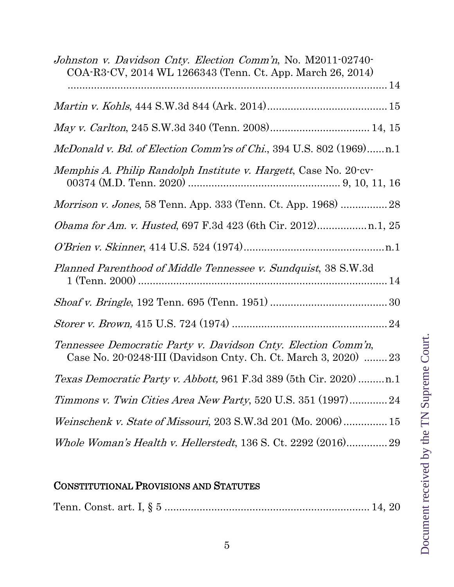| Johnston v. Davidson Cnty. Election Comm'n, No. M2011-02740-<br>COA-R3-CV, 2014 WL 1266343 (Tenn. Ct. App. March 26, 2014)       |
|----------------------------------------------------------------------------------------------------------------------------------|
|                                                                                                                                  |
|                                                                                                                                  |
|                                                                                                                                  |
| McDonald v. Bd. of Election Comm'rs of Chi., 394 U.S. 802 (1969)n.1                                                              |
| Memphis A. Philip Randolph Institute v. Hargett, Case No. 20-cv-                                                                 |
|                                                                                                                                  |
|                                                                                                                                  |
|                                                                                                                                  |
| Planned Parenthood of Middle Tennessee v. Sundquist, 38 S.W.3d                                                                   |
|                                                                                                                                  |
|                                                                                                                                  |
| Tennessee Democratic Party v. Davidson Cnty. Election Comm'n,<br>Case No. 20-0248-III (Davidson Cnty. Ch. Ct. March 3, 2020)  23 |
|                                                                                                                                  |
| Timmons v. Twin Cities Area New Party, 520 U.S. 351 (1997)24                                                                     |
| <i>Weinschenk v. State of Missouri,</i> 203 S.W.3d 201 (Mo. 2006) 15                                                             |
| Whole Woman's Health v. Hellerstedt, 136 S. Ct. 2292 (2016)29                                                                    |

## CONSTITUTIONAL PROVISIONS AND STATUTES

|--|--|--|--|--|--|--|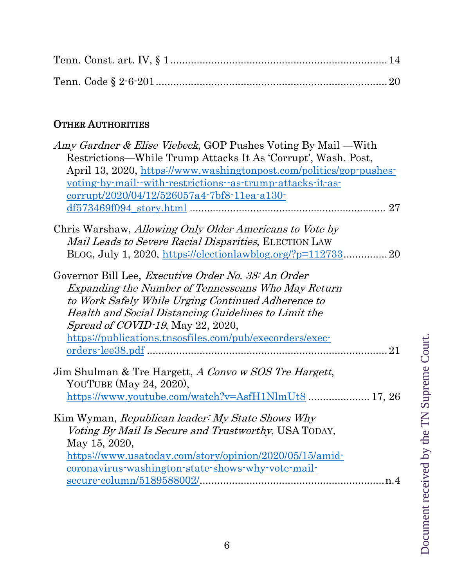# OTHER AUTHORITIES

| <i>Amy Gardner &amp; Elise Viebeck</i> , GOP Pushes Voting By Mail — With |    |
|---------------------------------------------------------------------------|----|
| Restrictions—While Trump Attacks It As 'Corrupt', Wash. Post,             |    |
| April 13, 2020, https://www.washingtonpost.com/politics/gop-pushes-       |    |
| voting-by-mail--with-restrictions-as-trump-attacks-it-as-                 |    |
| corrupt/2020/04/12/526057a4-7bf8-11ea-a130-                               |    |
|                                                                           | 27 |
| Chris Warshaw, Allowing Only Older Americans to Vote by                   |    |
| <i>Mail Leads to Severe Racial Disparities, ELECTION LAW</i>              |    |
|                                                                           | 20 |
| BLOG, July 1, 2020, https://electionlawblog.org/?p=112733                 |    |
| Governor Bill Lee, <i>Executive Order No. 38: An Order</i>                |    |
| Expanding the Number of Tennesseans Who May Return                        |    |
| to Work Safely While Urging Continued Adherence to                        |    |
| Health and Social Distancing Guidelines to Limit the                      |    |
| Spread of COVID-19, May 22, 2020,                                         |    |
| https://publications.tnsosfiles.com/pub/execorders/exec-                  |    |
|                                                                           | 21 |
|                                                                           |    |
| Jim Shulman & Tre Hargett, A Convo w SOS Tre Hargett,                     |    |
| YOUTUBE (May 24, 2020),                                                   |    |
| https://www.youtube.com/watch?v=AsfH1NlmUt8 17, 26                        |    |
| Kim Wyman, Republican leader: My State Shows Why                          |    |
| Voting By Mail Is Secure and Trustworthy, USA TODAY,                      |    |
| May 15, 2020,                                                             |    |
| https://www.usatoday.com/story/opinion/2020/05/15/amid-                   |    |
| <u>coronavirus-washington-state-shows-why-vote-mail-</u>                  |    |
|                                                                           |    |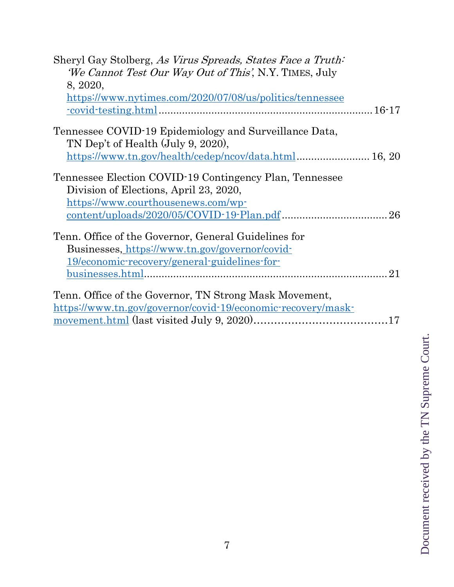| Sheryl Gay Stolberg, As Virus Spreads, States Face a Truth:<br><i>We Cannot Test Our Way Out of This'</i> , N.Y. TIMES, July<br>8, 2020,<br>https://www.nytimes.com/2020/07/08/us/politics/tennessee<br>$\frac{-\text{covid-testing.html}}{16-17}$ |
|----------------------------------------------------------------------------------------------------------------------------------------------------------------------------------------------------------------------------------------------------|
| Tennessee COVID-19 Epidemiology and Surveillance Data,                                                                                                                                                                                             |
| TN Dep't of Health (July 9, 2020),                                                                                                                                                                                                                 |
| https://www.tn.gov/health/cedep/ncov/data.html 16, 20                                                                                                                                                                                              |
| Tennessee Election COVID-19 Contingency Plan, Tennessee                                                                                                                                                                                            |
| Division of Elections, April 23, 2020,                                                                                                                                                                                                             |
| https://www.courthousenews.com/wp-                                                                                                                                                                                                                 |
| $\frac{\text{content-uploads}/2020/05/COVID-19-Plan.pdf}{26}$                                                                                                                                                                                      |
| Tenn. Office of the Governor, General Guidelines for                                                                                                                                                                                               |
| Businesses, https://www.tn.gov/governor/covid-                                                                                                                                                                                                     |
| 19/economic-recovery/general-guidelines-for-                                                                                                                                                                                                       |
|                                                                                                                                                                                                                                                    |
| Tenn. Office of the Governor, TN Strong Mask Movement,                                                                                                                                                                                             |
| https://www.tn.gov/governor/covid-19/economic-recovery/mask-                                                                                                                                                                                       |
|                                                                                                                                                                                                                                                    |
|                                                                                                                                                                                                                                                    |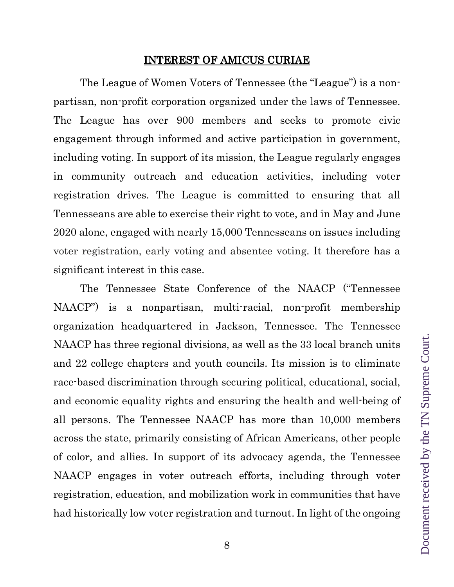#### INTEREST OF AMICUS CURIAE

<span id="page-7-0"></span>The League of Women Voters of Tennessee (the "League") is a nonpartisan, non-profit corporation organized under the laws of Tennessee. The League has over 900 members and seeks to promote civic engagement through informed and active participation in government, including voting. In support of its mission, the League regularly engages in community outreach and education activities, including voter registration drives. The League is committed to ensuring that all Tennesseans are able to exercise their right to vote, and in May and June 2020 alone, engaged with nearly 15,000 Tennesseans on issues including voter registration, early voting and absentee voting. It therefore has a significant interest in this case.

The Tennessee State Conference of the NAACP ("Tennessee NAACP") is a nonpartisan, multi-racial, non-profit membership organization headquartered in Jackson, Tennessee. The Tennessee NAACP has three regional divisions, as well as the 33 local branch units and 22 college chapters and youth councils. Its mission is to eliminate race-based discrimination through securing political, educational, social, and economic equality rights and ensuring the health and well-being of all persons. The Tennessee NAACP has more than 10,000 members across the state, primarily consisting of African Americans, other people of color, and allies. In support of its advocacy agenda, the Tennessee NAACP engages in voter outreach efforts, including through voter registration, education, and mobilization work in communities that have had historically low voter registration and turnout. In light of the ongoing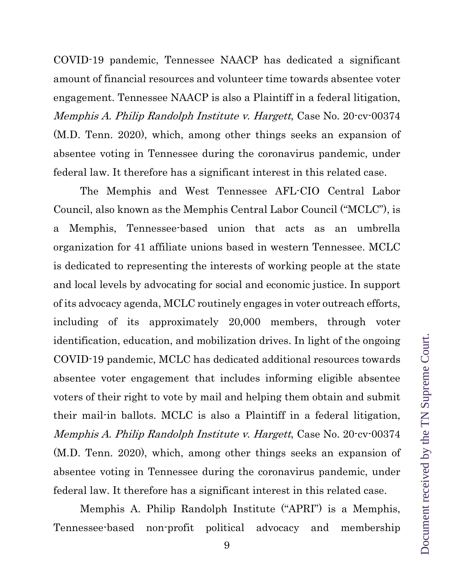COVID-19 pandemic, Tennessee NAACP has dedicated a significant amount of financial resources and volunteer time towards absentee voter engagement. Tennessee NAACP is also a Plaintiff in a federal litigation, Memphis A. Philip Randolph Institute v. Hargett, Case No. 20-cv-00374 (M.D. Tenn. 2020), which, among other things seeks an expansion of absentee voting in Tennessee during the coronavirus pandemic, under federal law. It therefore has a significant interest in this related case.

The Memphis and West Tennessee AFL-CIO Central Labor Council, also known as the Memphis Central Labor Council ("MCLC"), is a Memphis, Tennessee-based union that acts as an umbrella organization for 41 affiliate unions based in western Tennessee. MCLC is dedicated to representing the interests of working people at the state and local levels by advocating for social and economic justice. In support of its advocacy agenda, MCLC routinely engages in voter outreach efforts, including of its approximately 20,000 members, through voter identification, education, and mobilization drives. In light of the ongoing COVID-19 pandemic, MCLC has dedicated additional resources towards absentee voter engagement that includes informing eligible absentee voters of their right to vote by mail and helping them obtain and submit their mail-in ballots. MCLC is also a Plaintiff in a federal litigation, Memphis A. Philip Randolph Institute v. Hargett, Case No. 20-cv-00374 (M.D. Tenn. 2020), which, among other things seeks an expansion of absentee voting in Tennessee during the coronavirus pandemic, under federal law. It therefore has a significant interest in this related case.

Memphis A. Philip Randolph Institute ("APRI") is a Memphis, Tennessee-based non-profit political advocacy and membership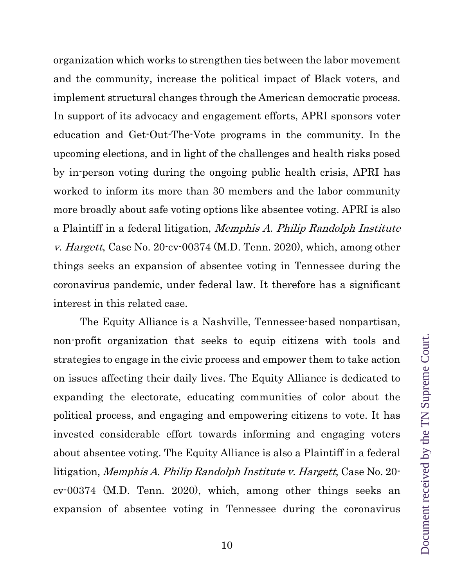organization which works to strengthen ties between the labor movement and the community, increase the political impact of Black voters, and implement structural changes through the American democratic process. In support of its advocacy and engagement efforts, APRI sponsors voter education and Get-Out-The-Vote programs in the community. In the upcoming elections, and in light of the challenges and health risks posed by in-person voting during the ongoing public health crisis, APRI has worked to inform its more than 30 members and the labor community more broadly about safe voting options like absentee voting. APRI is also a Plaintiff in a federal litigation, Memphis A. Philip Randolph Institute v. Hargett, Case No. 20-cv-00374 (M.D. Tenn. 2020), which, among other things seeks an expansion of absentee voting in Tennessee during the coronavirus pandemic, under federal law. It therefore has a significant interest in this related case.

The Equity Alliance is a Nashville, Tennessee-based nonpartisan, non-profit organization that seeks to equip citizens with tools and strategies to engage in the civic process and empower them to take action on issues affecting their daily lives. The Equity Alliance is dedicated to expanding the electorate, educating communities of color about the political process, and engaging and empowering citizens to vote. It has invested considerable effort towards informing and engaging voters about absentee voting. The Equity Alliance is also a Plaintiff in a federal litigation, Memphis A. Philip Randolph Institute v. Hargett, Case No. 20 cv-00374 (M.D. Tenn. 2020), which, among other things seeks an expansion of absentee voting in Tennessee during the coronavirus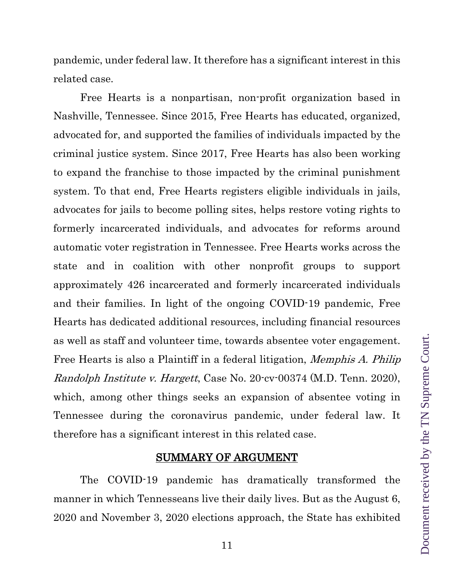pandemic, under federal law. It therefore has a significant interest in this related case.

Free Hearts is a nonpartisan, non-profit organization based in Nashville, Tennessee. Since 2015, Free Hearts has educated, organized, advocated for, and supported the families of individuals impacted by the criminal justice system. Since 2017, Free Hearts has also been working to expand the franchise to those impacted by the criminal punishment system. To that end, Free Hearts registers eligible individuals in jails, advocates for jails to become polling sites, helps restore voting rights to formerly incarcerated individuals, and advocates for reforms around automatic voter registration in Tennessee. Free Hearts works across the state and in coalition with other nonprofit groups to support approximately 426 incarcerated and formerly incarcerated individuals and their families. In light of the ongoing COVID-19 pandemic, Free Hearts has dedicated additional resources, including financial resources as well as staff and volunteer time, towards absentee voter engagement. Free Hearts is also a Plaintiff in a federal litigation, Memphis A. Philip Randolph Institute v. Hargett, Case No. 20-cv-00374 (M.D. Tenn. 2020), which, among other things seeks an expansion of absentee voting in Tennessee during the coronavirus pandemic, under federal law. It therefore has a significant interest in this related case.

#### SUMMARY OF ARGUMENT

<span id="page-10-0"></span>The COVID-19 pandemic has dramatically transformed the manner in which Tennesseans live their daily lives. But as the August 6, 2020 and November 3, 2020 elections approach, the State has exhibited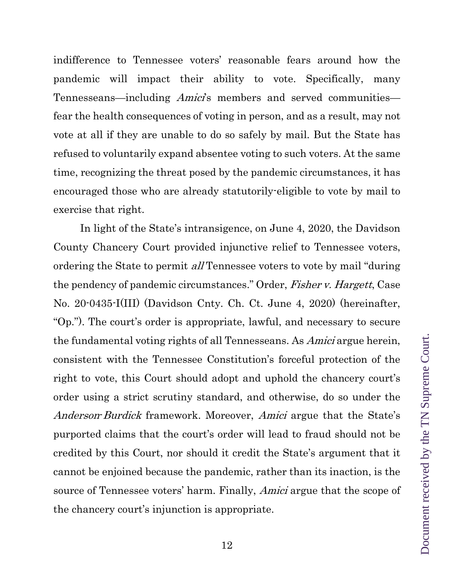indifference to Tennessee voters' reasonable fears around how the pandemic will impact their ability to vote. Specifically, many Tennesseans—including *Amici*'s members and served communities fear the health consequences of voting in person, and as a result, may not vote at all if they are unable to do so safely by mail. But the State has refused to voluntarily expand absentee voting to such voters. At the same time, recognizing the threat posed by the pandemic circumstances, it has encouraged those who are already statutorily-eligible to vote by mail to exercise that right.

In light of the State's intransigence, on June 4, 2020, the Davidson County Chancery Court provided injunctive relief to Tennessee voters, ordering the State to permit *all* Tennessee voters to vote by mail "during" the pendency of pandemic circumstances." Order, Fisher v. Hargett, Case No. 20-0435-I(III) (Davidson Cnty. Ch. Ct. June 4, 2020) (hereinafter, "Op."). The court's order is appropriate, lawful, and necessary to secure the fundamental voting rights of all Tennesseans. As Amici argue herein, consistent with the Tennessee Constitution's forceful protection of the right to vote, this Court should adopt and uphold the chancery court's order using a strict scrutiny standard, and otherwise, do so under the Anderson-Burdick framework. Moreover, Amici argue that the State's purported claims that the court's order will lead to fraud should not be credited by this Court, nor should it credit the State's argument that it cannot be enjoined because the pandemic, rather than its inaction, is the source of Tennessee voters' harm. Finally, Amici argue that the scope of the chancery court's injunction is appropriate.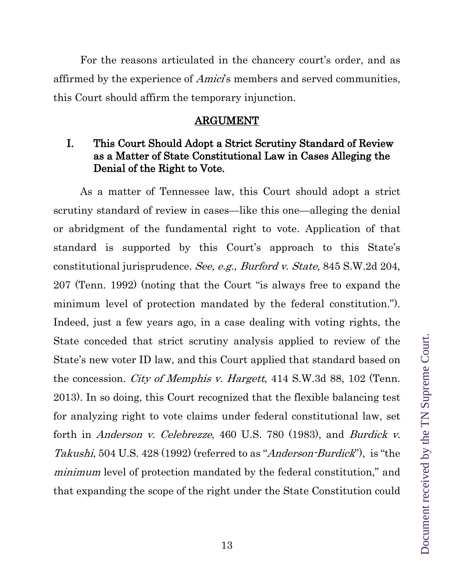For the reasons articulated in the chancery court's order, and as affirmed by the experience of *Amici*'s members and served communities, this Court should affirm the temporary injunction.

#### ARGUMENT

### <span id="page-12-1"></span><span id="page-12-0"></span>I. This Court Should Adopt a Strict Scrutiny Standard of Review as a Matter of State Constitutional Law in Cases Alleging the Denial of the Right to Vote.

As a matter of Tennessee law, this Court should adopt a strict scrutiny standard of review in cases—like this one—alleging the denial or abridgment of the fundamental right to vote. Application of that standard is supported by this Court's approach to this State's constitutional jurisprudence. See, e.g., Burford v. State, 845 S.W.2d 204, 207 (Tenn. 1992) (noting that the Court "is always free to expand the minimum level of protection mandated by the federal constitution."). Indeed, just a few years ago, in a case dealing with voting rights, the State conceded that strict scrutiny analysis applied to review of the State's new voter ID law, and this Court applied that standard based on the concession. *City of Memphis v. Hargett*, 414 S.W.3d 88, 102 (Tenn. 2013). In so doing, this Court recognized that the flexible balancing test for analyzing right to vote claims under federal constitutional law, set forth in Anderson v. Celebrezze, 460 U.S. 780 (1983), and Burdick v. Takushi, 504 U.S. 428 (1992) (referred to as "Anderson-Burdick"), is "the minimum level of protection mandated by the federal constitution," and that expanding the scope of the right under the State Constitution could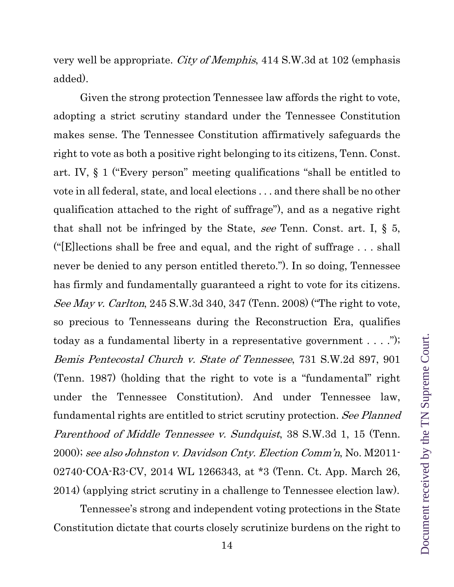very well be appropriate. City of Memphis, 414 S.W.3d at 102 (emphasis added).

Given the strong protection Tennessee law affords the right to vote, adopting a strict scrutiny standard under the Tennessee Constitution makes sense. The Tennessee Constitution affirmatively safeguards the right to vote as both a positive right belonging to its citizens, Tenn. Const. art. IV, § 1 ("Every person" meeting qualifications "shall be entitled to vote in all federal, state, and local elections . . . and there shall be no other qualification attached to the right of suffrage"), and as a negative right that shall not be infringed by the State, see Tenn. Const. art. I,  $\S$  5, ("[E]lections shall be free and equal, and the right of suffrage . . . shall never be denied to any person entitled thereto."). In so doing, Tennessee has firmly and fundamentally guaranteed a right to vote for its citizens. See May v. Carlton, 245 S.W.3d 340, 347 (Tenn. 2008) ("The right to vote, so precious to Tennesseans during the Reconstruction Era, qualifies today as a fundamental liberty in a representative government . . . ."); Bemis Pentecostal Church v. State of Tennessee, 731 S.W.2d 897, 901 (Tenn. 1987) (holding that the right to vote is a "fundamental" right under the Tennessee Constitution). And under Tennessee law, fundamental rights are entitled to strict scrutiny protection. See Planned Parenthood of Middle Tennessee v. Sundquist, 38 S.W.3d 1, 15 (Tenn. 2000); see also Johnston v. Davidson Cnty. Election Comm'n, No. M2011- 02740-COA-R3-CV, 2014 WL 1266343, at \*3 (Tenn. Ct. App. March 26, 2014) (applying strict scrutiny in a challenge to Tennessee election law).

Tennessee's strong and independent voting protections in the State Constitution dictate that courts closely scrutinize burdens on the right to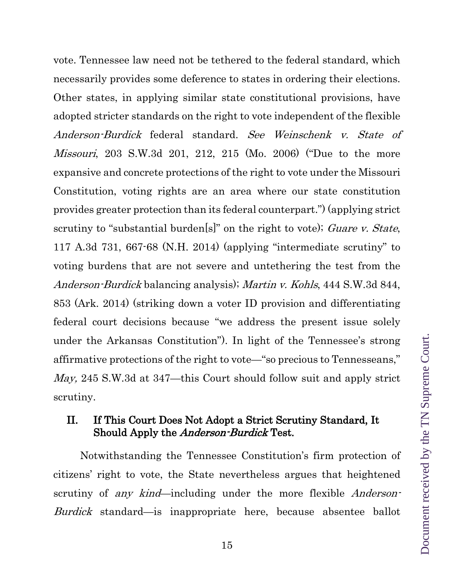vote. Tennessee law need not be tethered to the federal standard, which necessarily provides some deference to states in ordering their elections. Other states, in applying similar state constitutional provisions, have adopted stricter standards on the right to vote independent of the flexible Anderson-Burdick federal standard. See Weinschenk v. State of Missouri, 203 S.W.3d 201, 212, 215 (Mo. 2006) ("Due to the more expansive and concrete protections of the right to vote under the Missouri Constitution, voting rights are an area where our state constitution provides greater protection than its federal counterpart.") (applying strict scrutiny to "substantial burden[s]" on the right to vote); Guare v. State, 117 A.3d 731, 667-68 (N.H. 2014) (applying "intermediate scrutiny" to voting burdens that are not severe and untethering the test from the Anderson-Burdick balancing analysis); Martin v. Kohls, 444 S.W.3d 844, 853 (Ark. 2014) (striking down a voter ID provision and differentiating federal court decisions because "we address the present issue solely under the Arkansas Constitution"). In light of the Tennessee's strong affirmative protections of the right to vote—"so precious to Tennesseans," May, 245 S.W.3d at 347—this Court should follow suit and apply strict scrutiny.

### <span id="page-14-0"></span>II. If This Court Does Not Adopt a Strict Scrutiny Standard, It Should Apply the *Anderson-Burdick* Test.

Notwithstanding the Tennessee Constitution's firm protection of citizens' right to vote, the State nevertheless argues that heightened scrutiny of *any kind*—including under the more flexible *Anderson*-Burdick standard—is inappropriate here, because absentee ballot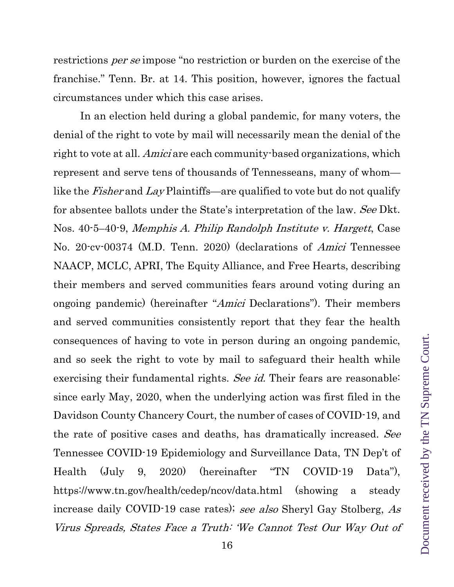restrictions per se impose "no restriction or burden on the exercise of the franchise." Tenn. Br. at 14. This position, however, ignores the factual circumstances under which this case arises.

In an election held during a global pandemic, for many voters, the denial of the right to vote by mail will necessarily mean the denial of the right to vote at all. *Amici* are each community-based organizations, which represent and serve tens of thousands of Tennesseans, many of whom like the *Fisher* and Lay Plaintiffs—are qualified to vote but do not qualify for absentee ballots under the State's interpretation of the law. See Dkt. Nos. 40-5–40-9, Memphis A. Philip Randolph Institute v. Hargett, Case No. 20-cv-00374 (M.D. Tenn. 2020) (declarations of Amici Tennessee NAACP, MCLC, APRI, The Equity Alliance, and Free Hearts, describing their members and served communities fears around voting during an ongoing pandemic) (hereinafter "Amici Declarations"). Their members and served communities consistently report that they fear the health consequences of having to vote in person during an ongoing pandemic, and so seek the right to vote by mail to safeguard their health while exercising their fundamental rights. See id. Their fears are reasonable: since early May, 2020, when the underlying action was first filed in the Davidson County Chancery Court, the number of cases of COVID-19, and the rate of positive cases and deaths, has dramatically increased. See Tennessee COVID-19 Epidemiology and Surveillance Data, TN Dep't of Health (July 9, 2020) (hereinafter "TN COVID-19 Data"), [https://www.tn.gov/health/cedep/ncov/data.html](about:blank) (showing a steady increase daily COVID-19 case rates); see also Sheryl Gay Stolberg, As Virus Spreads, States Face a Truth: 'We Cannot Test Our Way Out of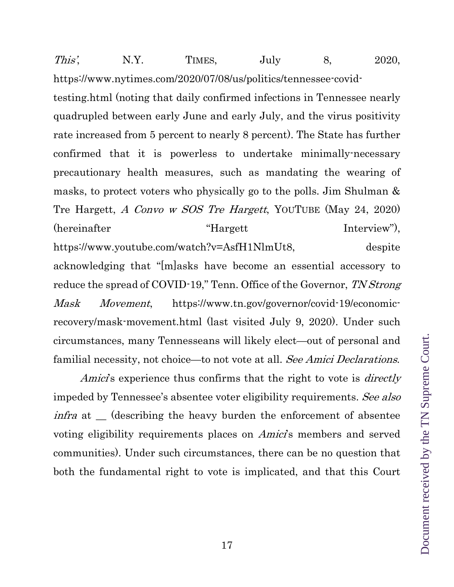This', N.Y. TIMES, July 8, 2020, [https://www.nytimes.com/2020/07/08/us/politics/tennessee-covid](about:blank)[testing.html](about:blank) (noting that daily confirmed infections in Tennessee nearly quadrupled between early June and early July, and the virus positivity rate increased from 5 percent to nearly 8 percent). The State has further confirmed that it is powerless to undertake minimally-necessary precautionary health measures, such as mandating the wearing of masks, to protect voters who physically go to the polls. Jim Shulman & Tre Hargett, A Convo w SOS Tre Hargett, YOUTUBE (May 24, 2020) (hereinafter "Hargett"), [https://www.youtube.com/watch?v=AsfH1NlmUt8,](about:blank) despite acknowledging that "[m]asks have become an essential accessory to reduce the spread of COVID-19," Tenn. Office of the Governor, TN Strong Mask Movement, [https://www.tn.gov/governor/covid-19/economic](about:blank)[recovery/mask-movement.html](about:blank) (last visited July 9, 2020). Under such circumstances, many Tennesseans will likely elect—out of personal and familial necessity, not choice—to not vote at all. See Amici Declarations.

Amici's experience thus confirms that the right to vote is *directly* impeded by Tennessee's absentee voter eligibility requirements. See also infra at \_ (describing the heavy burden the enforcement of absentee voting eligibility requirements places on *Amici*'s members and served communities). Under such circumstances, there can be no question that both the fundamental right to vote is implicated, and that this Court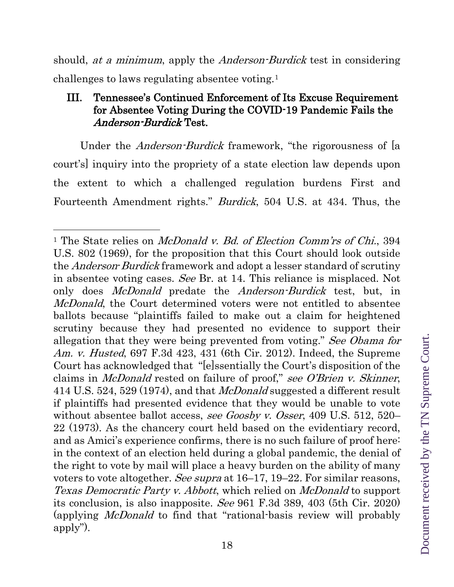should, *at a minimum*, apply the *Anderson-Burdick* test in considering challenges to laws regulating absentee voting.[1](#page-17-1)

## <span id="page-17-0"></span>III. Tennessee's Continued Enforcement of Its Excuse Requirement for Absentee Voting During the COVID-19 Pandemic Fails the Anderson-Burdick Test.

Under the *Anderson-Burdick* framework, "the rigorousness of [a court's] inquiry into the propriety of a state election law depends upon the extent to which a challenged regulation burdens First and Fourteenth Amendment rights." Burdick, 504 U.S. at 434. Thus, the

 $\overline{a}$ 

<span id="page-17-1"></span><sup>&</sup>lt;sup>1</sup> The State relies on *McDonald v. Bd. of Election Comm'rs of Chi.*, 394 U.S. 802 (1969), for the proposition that this Court should look outside the *Anderson-Burdick* framework and adopt a lesser standard of scrutiny in absentee voting cases. See Br. at 14. This reliance is misplaced. Not only does *McDonald* predate the *Anderson-Burdick* test, but, in McDonald, the Court determined voters were not entitled to absentee ballots because "plaintiffs failed to make out a claim for heightened scrutiny because they had presented no evidence to support their allegation that they were being prevented from voting." See Obama for Am. v. Husted, 697 F.3d 423, 431 (6th Cir. 2012). Indeed, the Supreme Court has acknowledged that "[e]ssentially the Court's disposition of the claims in McDonald rested on failure of proof," see O'Brien v. Skinner, 414 U.S. 524, 529 (1974), and that McDonald suggested a different result if plaintiffs had presented evidence that they would be unable to vote without absentee ballot access, see Goosby v. Osser, 409 U.S. 512, 520– 22 (1973). As the chancery court held based on the evidentiary record, and as Amici's experience confirms, there is no such failure of proof here: in the context of an election held during a global pandemic, the denial of the right to vote by mail will place a heavy burden on the ability of many voters to vote altogether. See supra at 16–17, 19–22. For similar reasons, Texas Democratic Party v. Abbott, which relied on McDonald to support its conclusion, is also inapposite. See 961 F.3d 389, 403 (5th Cir. 2020) (applying McDonald to find that "rational-basis review will probably apply").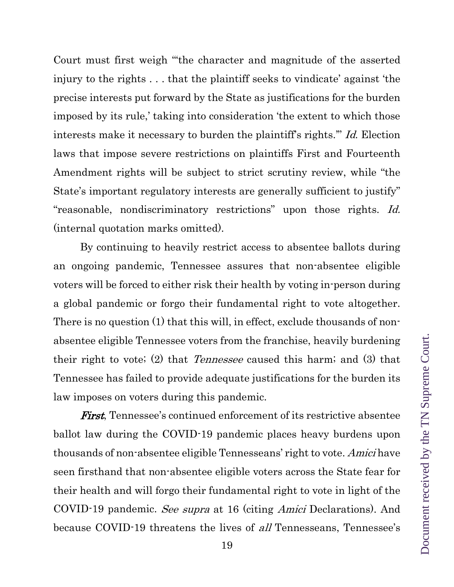Court must first weigh "'the character and magnitude of the asserted injury to the rights . . . that the plaintiff seeks to vindicate' against 'the precise interests put forward by the State as justifications for the burden imposed by its rule,' taking into consideration 'the extent to which those interests make it necessary to burden the plaintiff's rights.'" Id. Election laws that impose severe restrictions on plaintiffs First and Fourteenth Amendment rights will be subject to strict scrutiny review, while "the State's important regulatory interests are generally sufficient to justify" "reasonable, nondiscriminatory restrictions" upon those rights. Id. (internal quotation marks omitted).

By continuing to heavily restrict access to absentee ballots during an ongoing pandemic, Tennessee assures that non-absentee eligible voters will be forced to either risk their health by voting in-person during a global pandemic or forgo their fundamental right to vote altogether. There is no question (1) that this will, in effect, exclude thousands of nonabsentee eligible Tennessee voters from the franchise, heavily burdening their right to vote; (2) that Tennessee caused this harm; and (3) that Tennessee has failed to provide adequate justifications for the burden its law imposes on voters during this pandemic.

**First**, Tennessee's continued enforcement of its restrictive absentee ballot law during the COVID-19 pandemic places heavy burdens upon thousands of non-absentee eligible Tennesseans' right to vote. Amici have seen firsthand that non-absentee eligible voters across the State fear for their health and will forgo their fundamental right to vote in light of the COVID-19 pandemic. See supra at 16 (citing Amici Declarations). And because COVID-19 threatens the lives of all Tennesseans, Tennessee's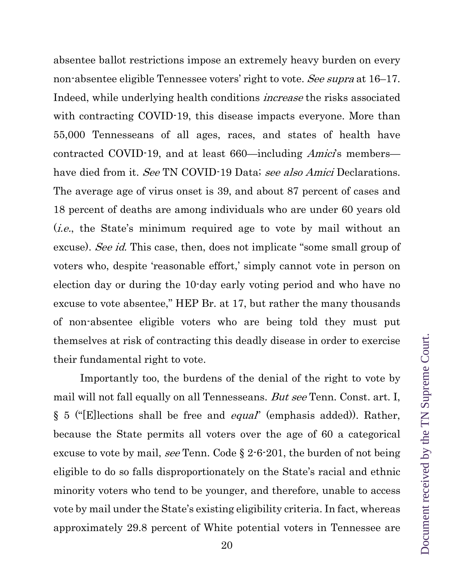absentee ballot restrictions impose an extremely heavy burden on every non-absentee eligible Tennessee voters' right to vote. See supra at 16–17. Indeed, while underlying health conditions increase the risks associated with contracting COVID-19, this disease impacts everyone. More than 55,000 Tennesseans of all ages, races, and states of health have contracted COVID-19, and at least 660—including *Amici*'s members have died from it. See TN COVID-19 Data; see also Amici Declarations. The average age of virus onset is 39, and about 87 percent of cases and 18 percent of deaths are among individuals who are under 60 years old (i.e., the State's minimum required age to vote by mail without an excuse). See id. This case, then, does not implicate "some small group of voters who, despite 'reasonable effort,' simply cannot vote in person on election day or during the 10-day early voting period and who have no excuse to vote absentee," HEP Br. at 17, but rather the many thousands of non-absentee eligible voters who are being told they must put themselves at risk of contracting this deadly disease in order to exercise their fundamental right to vote.

Importantly too, the burdens of the denial of the right to vote by mail will not fall equally on all Tennesseans. But see Tenn. Const. art. I, § 5 ("[E]lections shall be free and equal" (emphasis added)). Rather, because the State permits all voters over the age of 60 a categorical excuse to vote by mail, see Tenn. Code § 2-6-201, the burden of not being eligible to do so falls disproportionately on the State's racial and ethnic minority voters who tend to be younger, and therefore, unable to access vote by mail under the State's existing eligibility criteria. In fact, whereas approximately 29.8 percent of White potential voters in Tennessee are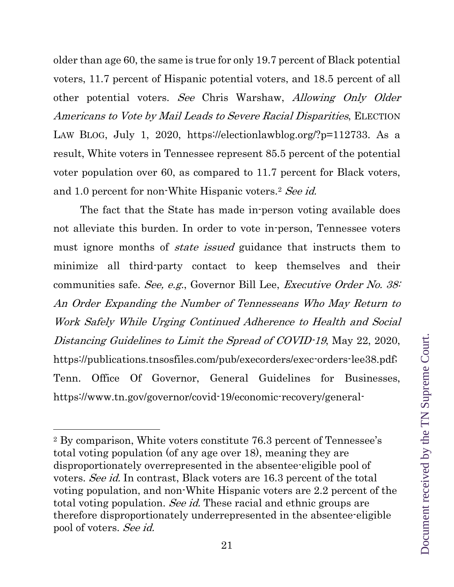older than age 60, the same is true for only 19.7 percent of Black potential voters, 11.7 percent of Hispanic potential voters, and 18.5 percent of all other potential voters. See Chris Warshaw, Allowing Only Older Americans to Vote by Mail Leads to Severe Racial Disparities, ELECTION LAW BLOG, July 1, 2020, [https://electionlawblog.org/?p=112733.](about:blank) As a result, White voters in Tennessee represent 85.5 percent of the potential voter population over 60, as compared to 11.7 percent for Black voters, and 1.0 percent for non-White Hispanic voters.<sup>[2](#page-20-0)</sup> See id.

The fact that the State has made in-person voting available does not alleviate this burden. In order to vote in-person, Tennessee voters must ignore months of *state issued* guidance that instructs them to minimize all third-party contact to keep themselves and their communities safe. See, e.g., Governor Bill Lee, Executive Order No. 38: An Order Expanding the Number of Tennesseans Who May Return to Work Safely While Urging Continued Adherence to Health and Social Distancing Guidelines to Limit the Spread of COVID-19, May 22, 2020, [https://publications.tnsosfiles.com/pub/execorders/exec-orders-lee38.pdf;](about:blank) Tenn. Office Of Governor, General Guidelines for Businesses, [https://www.tn.gov/governor/covid-19/economic-recovery/general-](about:blank)

 $\overline{a}$ 

<span id="page-20-0"></span><sup>2</sup> By comparison, White voters constitute 76.3 percent of Tennessee's total voting population (of any age over 18), meaning they are disproportionately overrepresented in the absentee-eligible pool of voters. See id. In contrast, Black voters are 16.3 percent of the total voting population, and non-White Hispanic voters are 2.2 percent of the total voting population. See id. These racial and ethnic groups are therefore disproportionately underrepresented in the absentee-eligible pool of voters. See id.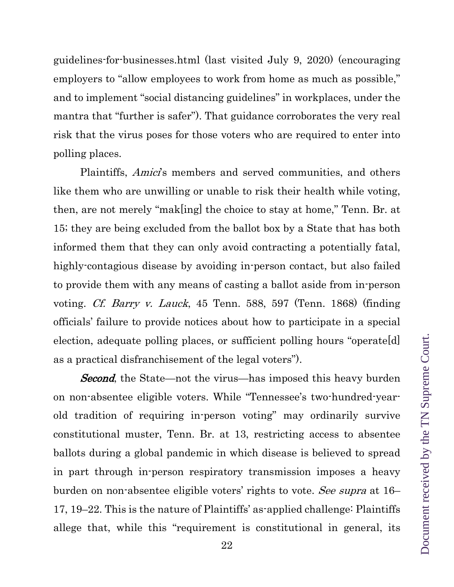[guidelines-for-businesses.html](about:blank) (last visited July 9, 2020) (encouraging employers to "allow employees to work from home as much as possible," and to implement "social distancing guidelines" in workplaces, under the mantra that "further is safer"). That guidance corroborates the very real risk that the virus poses for those voters who are required to enter into polling places.

Plaintiffs, *Amici*'s members and served communities, and others like them who are unwilling or unable to risk their health while voting, then, are not merely "mak[ing] the choice to stay at home," Tenn. Br. at 15; they are being excluded from the ballot box by a State that has both informed them that they can only avoid contracting a potentially fatal, highly-contagious disease by avoiding in-person contact, but also failed to provide them with any means of casting a ballot aside from in-person voting. Cf. Barry v. Lauck, 45 Tenn. 588, 597 (Tenn. 1868) (finding officials' failure to provide notices about how to participate in a special election, adequate polling places, or sufficient polling hours "operate[d] as a practical disfranchisement of the legal voters").

**Second**, the State—not the virus—has imposed this heavy burden on non-absentee eligible voters. While "Tennessee's two-hundred-yearold tradition of requiring in-person voting" may ordinarily survive constitutional muster, Tenn. Br. at 13, restricting access to absentee ballots during a global pandemic in which disease is believed to spread in part through in-person respiratory transmission imposes a heavy burden on non-absentee eligible voters' rights to vote. See supra at 16– 17, 19–22. This is the nature of Plaintiffs' as-applied challenge: Plaintiffs allege that, while this "requirement is constitutional in general, its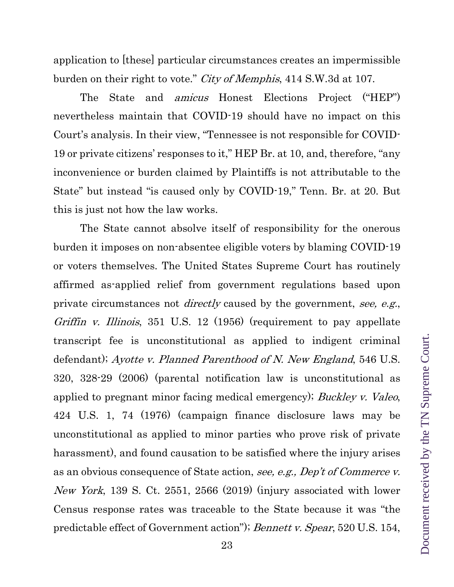application to [these] particular circumstances creates an impermissible burden on their right to vote." City of Memphis, 414 S.W.3d at 107.

The State and amicus Honest Elections Project ("HEP") nevertheless maintain that COVID-19 should have no impact on this Court's analysis. In their view, "Tennessee is not responsible for COVID-19 or private citizens' responses to it," HEP Br. at 10, and, therefore, "any inconvenience or burden claimed by Plaintiffs is not attributable to the State" but instead "is caused only by COVID-19," Tenn. Br. at 20. But this is just not how the law works.

The State cannot absolve itself of responsibility for the onerous burden it imposes on non-absentee eligible voters by blaming COVID-19 or voters themselves. The United States Supreme Court has routinely affirmed as-applied relief from government regulations based upon private circumstances not *directly* caused by the government, see, e.g., Griffin v. Illinois, 351 U.S. 12 (1956) (requirement to pay appellate transcript fee is unconstitutional as applied to indigent criminal defendant); Ayotte v. Planned Parenthood of N. New England, 546 U.S. 320, 328-29 (2006) (parental notification law is unconstitutional as applied to pregnant minor facing medical emergency); Buckley v. Valeo, 424 U.S. 1, 74 (1976) (campaign finance disclosure laws may be unconstitutional as applied to minor parties who prove risk of private harassment), and found causation to be satisfied where the injury arises as an obvious consequence of State action, see, e.g., Dep't of Commerce v. New York, 139 S. Ct. 2551, 2566 (2019) (injury associated with lower Census response rates was traceable to the State because it was "the predictable effect of Government action"); Bennett v. Spear, 520 U.S. 154,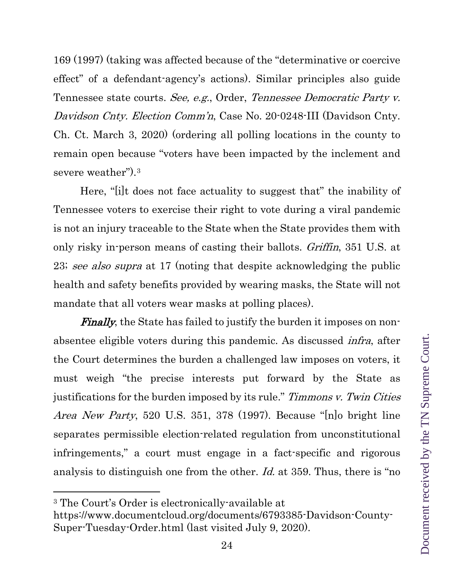169 (1997) (taking was affected because of the "determinative or coercive effect" of a defendant-agency's actions). Similar principles also guide Tennessee state courts. See, e.g., Order, Tennessee Democratic Party v. Davidson Cnty. Election Comm'n, Case No. 20-0248-III (Davidson Cnty. Ch. Ct. March 3, 2020) (ordering all polling locations in the county to remain open because "voters have been impacted by the inclement and severe weather").[3](#page-23-0)

Here, "[i]t does not face actuality to suggest that" the inability of Tennessee voters to exercise their right to vote during a viral pandemic is not an injury traceable to the State when the State provides them with only risky in-person means of casting their ballots. Griffin, 351 U.S. at 23; see also supra at 17 (noting that despite acknowledging the public health and safety benefits provided by wearing masks, the State will not mandate that all voters wear masks at polling places).

**Finally**, the State has failed to justify the burden it imposes on nonabsentee eligible voters during this pandemic. As discussed infra, after the Court determines the burden a challenged law imposes on voters, it must weigh "the precise interests put forward by the State as justifications for the burden imposed by its rule." Timmons v. Twin Cities Area New Party, 520 U.S. 351, 378 (1997). Because "[n]o bright line separates permissible election-related regulation from unconstitutional infringements," a court must engage in a fact-specific and rigorous analysis to distinguish one from the other. Id. at 359. Thus, there is "no

 $\overline{a}$ 

<span id="page-23-0"></span><sup>3</sup> The Court's Order is electronically-available at

[https://www.documentcloud.org/documents/6793385-Davidson-County-](about:blank)[Super-Tuesday-Order.html](about:blank) (last visited July 9, 2020).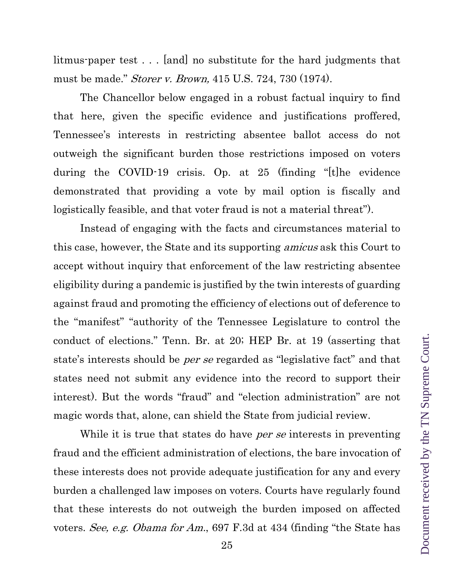litmus-paper test . . . [and] no substitute for the hard judgments that must be made." Storer v. Brown, 415 U.S. 724, 730 (1974).

The Chancellor below engaged in a robust factual inquiry to find that here, given the specific evidence and justifications proffered, Tennessee's interests in restricting absentee ballot access do not outweigh the significant burden those restrictions imposed on voters during the COVID-19 crisis. Op. at 25 (finding "[t]he evidence demonstrated that providing a vote by mail option is fiscally and logistically feasible, and that voter fraud is not a material threat").

Instead of engaging with the facts and circumstances material to this case, however, the State and its supporting *amicus* ask this Court to accept without inquiry that enforcement of the law restricting absentee eligibility during a pandemic is justified by the twin interests of guarding against fraud and promoting the efficiency of elections out of deference to the "manifest" "authority of the Tennessee Legislature to control the conduct of elections." Tenn. Br. at 20; HEP Br. at 19 (asserting that state's interests should be per se regarded as "legislative fact" and that states need not submit any evidence into the record to support their interest). But the words "fraud" and "election administration" are not magic words that, alone, can shield the State from judicial review.

While it is true that states do have *per se* interests in preventing fraud and the efficient administration of elections, the bare invocation of these interests does not provide adequate justification for any and every burden a challenged law imposes on voters. Courts have regularly found that these interests do not outweigh the burden imposed on affected voters. See, e.g. Obama for Am., 697 F.3d at 434 (finding "the State has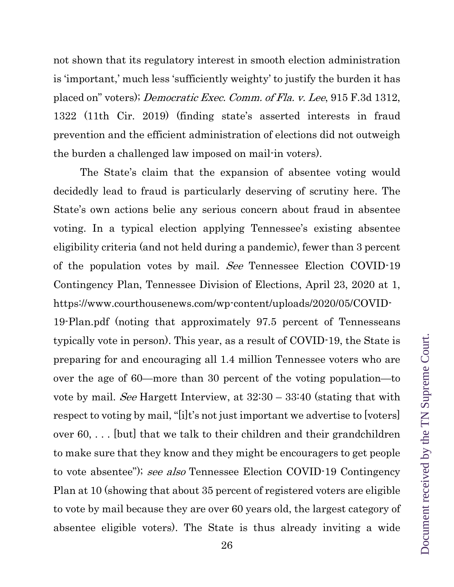not shown that its regulatory interest in smooth election administration is 'important,' much less 'sufficiently weighty' to justify the burden it has placed on" voters); Democratic Exec. Comm. of Fla. v. Lee, 915 F.3d 1312, 1322 (11th Cir. 2019) (finding state's asserted interests in fraud prevention and the efficient administration of elections did not outweigh the burden a challenged law imposed on mail-in voters).

The State's claim that the expansion of absentee voting would decidedly lead to fraud is particularly deserving of scrutiny here. The State's own actions belie any serious concern about fraud in absentee voting. In a typical election applying Tennessee's existing absentee eligibility criteria (and not held during a pandemic), fewer than 3 percent of the population votes by mail. See Tennessee Election COVID-19 Contingency Plan, Tennessee Division of Elections, April 23, 2020 at 1, https://www.courthousenews.com/wp-content/uploads/2020/05/COVID-

19-Plan.pdf (noting that approximately 97.5 percent of Tennesseans typically vote in person). This year, as a result of COVID-19, the State is preparing for and encouraging all 1.4 million Tennessee voters who are over the age of 60—more than 30 percent of the voting population—to vote by mail. See Hargett Interview, at 32:30 – 33:40 (stating that with respect to voting by mail, "[i]t's not just important we advertise to [voters] over 60, . . . [but] that we talk to their children and their grandchildren to make sure that they know and they might be encouragers to get people to vote absentee"); see also Tennessee Election COVID-19 Contingency Plan at 10 (showing that about 35 percent of registered voters are eligible to vote by mail because they are over 60 years old, the largest category of absentee eligible voters). The State is thus already inviting a wide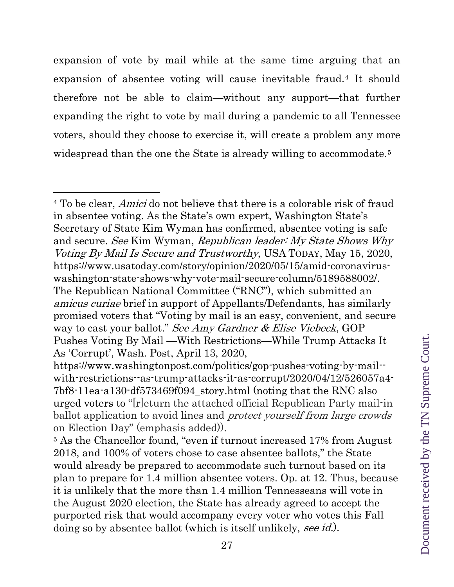expansion of vote by mail while at the same time arguing that an expansion of absentee voting will cause inevitable fraud.[4](#page-26-0) It should therefore not be able to claim—without any support—that further expanding the right to vote by mail during a pandemic to all Tennessee voters, should they choose to exercise it, will create a problem any more widespread than the one the State is already willing to accommodate.<sup>[5](#page-26-1)</sup>

 $\overline{a}$ 

<span id="page-26-0"></span><sup>&</sup>lt;sup>4</sup> To be clear, *Amici* do not believe that there is a colorable risk of fraud in absentee voting. As the State's own expert, Washington State's Secretary of State Kim Wyman has confirmed, absentee voting is safe and secure. See Kim Wyman, Republican leader: My State Shows Why Voting By Mail Is Secure and Trustworthy, USA TODAY, May 15, 2020, [https://www.usatoday.com/story/opinion/2020/05/15/amid-coronavirus](about:blank)[washington-state-shows-why-vote-mail-secure-column/5189588002/.](about:blank) The Republican National Committee ("RNC"), which submitted an amicus curiae brief in support of Appellants/Defendants, has similarly promised voters that "Voting by mail is an easy, convenient, and secure way to cast your ballot." See Amy Gardner & Elise Viebeck, GOP Pushes Voting By Mail —With Restrictions—While Trump Attacks It As 'Corrupt', Wash. Post, April 13, 2020,

[https://www.washingtonpost.com/politics/gop-pushes-voting-by-mail-](https://www.washingtonpost.com/politics/gop-pushes-voting-by-mail--with-restrictions--as-trump-attacks-it-as-corrupt/2020/04/12/526057a4-7bf8-11ea-a130-df573469f094_story.html) [with-restrictions--as-trump-attacks-it-as-corrupt/2020/04/12/526057a4-](https://www.washingtonpost.com/politics/gop-pushes-voting-by-mail--with-restrictions--as-trump-attacks-it-as-corrupt/2020/04/12/526057a4-7bf8-11ea-a130-df573469f094_story.html) [7bf8-11ea-a130-df573469f094\\_story.html](https://www.washingtonpost.com/politics/gop-pushes-voting-by-mail--with-restrictions--as-trump-attacks-it-as-corrupt/2020/04/12/526057a4-7bf8-11ea-a130-df573469f094_story.html) (noting that the RNC also urged voters to "[r]eturn the attached official Republican Party mail-in ballot application to avoid lines and protect yourself from large crowds on Election Day" (emphasis added)).

<span id="page-26-1"></span><sup>&</sup>lt;sup>5</sup> As the Chancellor found, "even if turnout increased 17% from August 2018, and 100% of voters chose to case absentee ballots," the State would already be prepared to accommodate such turnout based on its plan to prepare for 1.4 million absentee voters. Op. at 12. Thus, because it is unlikely that the more than 1.4 million Tennesseans will vote in the August 2020 election, the State has already agreed to accept the purported risk that would accompany every voter who votes this Fall doing so by absentee ballot (which is itself unlikely, see id.).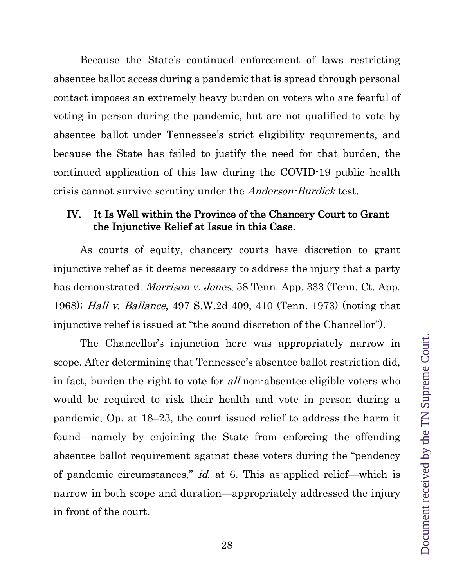Because the State's continued enforcement of laws restricting absentee ballot access during a pandemic that is spread through personal contact imposes an extremely heavy burden on voters who are fearful of voting in person during the pandemic, but are not qualified to vote by absentee ballot under Tennessee's strict eligibility requirements, and because the State has failed to justify the need for that burden, the continued application of this law during the COVID-19 public health crisis cannot survive scrutiny under the *Anderson-Burdick* test.

### <span id="page-27-0"></span>IV. It Is Well within the Province of the Chancery Court to Grant the Injunctive Relief at Issue in this Case.

As courts of equity, chancery courts have discretion to grant injunctive relief as it deems necessary to address the injury that a party has demonstrated. *Morrison v. Jones*, 58 Tenn. App. 333 (Tenn. Ct. App. 1968); Hall v. Ballance, 497 S.W.2d 409, 410 (Tenn. 1973) (noting that injunctive relief is issued at "the sound discretion of the Chancellor").

The Chancellor's injunction here was appropriately narrow in scope. After determining that Tennessee's absentee ballot restriction did, in fact, burden the right to vote for all non-absentee eligible voters who would be required to risk their health and vote in person during a pandemic, Op. at 18–23, the court issued relief to address the harm it found—namely by enjoining the State from enforcing the offending absentee ballot requirement against these voters during the "pendency of pandemic circumstances," id. at 6. This as-applied relief—which is narrow in both scope and duration—appropriately addressed the injury in front of the court.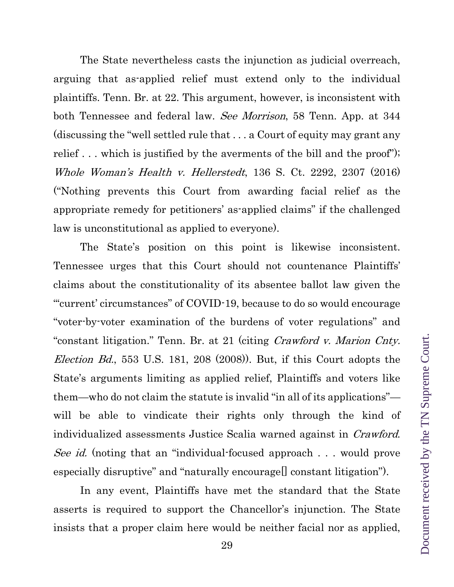The State nevertheless casts the injunction as judicial overreach, arguing that as-applied relief must extend only to the individual plaintiffs. Tenn. Br. at 22. This argument, however, is inconsistent with both Tennessee and federal law. See Morrison, 58 Tenn. App. at 344 (discussing the "well settled rule that . . . a Court of equity may grant any relief . . . which is justified by the averments of the bill and the proof"); Whole Woman's Health v. Hellerstedt, 136 S. Ct. 2292, 2307 (2016) ("Nothing prevents this Court from awarding facial relief as the appropriate remedy for petitioners' as-applied claims" if the challenged law is unconstitutional as applied to everyone).

The State's position on this point is likewise inconsistent. Tennessee urges that this Court should not countenance Plaintiffs' claims about the constitutionality of its absentee ballot law given the "'current' circumstances" of COVID-19, because to do so would encourage "voter-by-voter examination of the burdens of voter regulations" and "constant litigation." Tenn. Br. at 21 (citing *Crawford v. Marion Cnty.* Election Bd., 553 U.S. 181, 208 (2008)). But, if this Court adopts the State's arguments limiting as applied relief, Plaintiffs and voters like them—who do not claim the statute is invalid "in all of its applications" will be able to vindicate their rights only through the kind of individualized assessments Justice Scalia warned against in *Crawford*. See id. (noting that an "individual-focused approach . . . would prove especially disruptive" and "naturally encourage<sup>[]</sup> constant litigation").

In any event, Plaintiffs have met the standard that the State asserts is required to support the Chancellor's injunction. The State insists that a proper claim here would be neither facial nor as applied,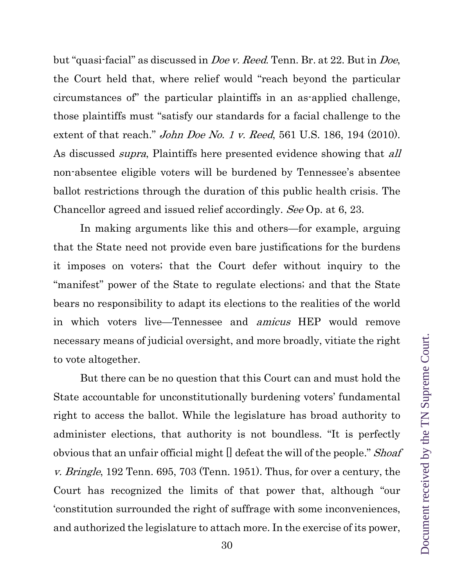but "quasi-facial" as discussed in Doe v. Reed. Tenn. Br. at 22. But in Doe, the Court held that, where relief would "reach beyond the particular circumstances of" the particular plaintiffs in an as-applied challenge, those plaintiffs must "satisfy our standards for a facial challenge to the extent of that reach." *John Doe No. 1 v. Reed*, 561 U.S. 186, 194 (2010). As discussed *supra*, Plaintiffs here presented evidence showing that *all* non-absentee eligible voters will be burdened by Tennessee's absentee ballot restrictions through the duration of this public health crisis. The Chancellor agreed and issued relief accordingly. See Op. at 6, 23.

In making arguments like this and others—for example, arguing that the State need not provide even bare justifications for the burdens it imposes on voters; that the Court defer without inquiry to the "manifest" power of the State to regulate elections; and that the State bears no responsibility to adapt its elections to the realities of the world in which voters live—Tennessee and amicus HEP would remove necessary means of judicial oversight, and more broadly, vitiate the right to vote altogether.

But there can be no question that this Court can and must hold the State accountable for unconstitutionally burdening voters' fundamental right to access the ballot. While the legislature has broad authority to administer elections, that authority is not boundless. "It is perfectly obvious that an unfair official might  $[]$  defeat the will of the people." *Shoaf* v. Bringle, 192 Tenn. 695, 703 (Tenn. 1951). Thus, for over a century, the Court has recognized the limits of that power that, although "our 'constitution surrounded the right of suffrage with some inconveniences, and authorized the legislature to attach more. In the exercise of its power,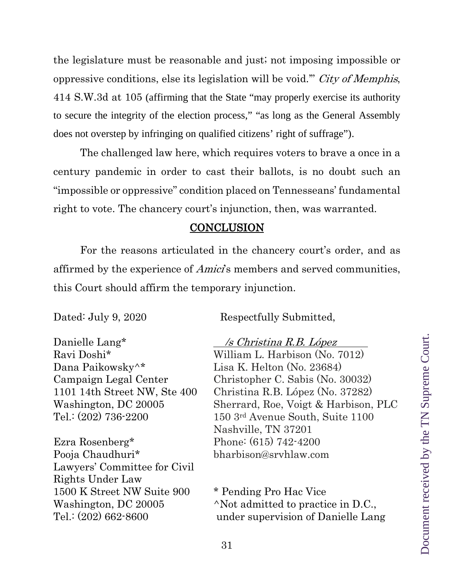the legislature must be reasonable and just; not imposing impossible or oppressive conditions, else its legislation will be void.'" City of Memphis, 414 S.W.3d at 105 (affirming that the State "may properly exercise its authority to secure the integrity of the election process," "as long as the General Assembly does not overstep by infringing on qualified citizens' right of suffrage").

The challenged law here, which requires voters to brave a once in a century pandemic in order to cast their ballots, is no doubt such an "impossible or oppressive" condition placed on Tennesseans' fundamental right to vote. The chancery court's injunction, then, was warranted.

#### **CONCLUSION**

<span id="page-30-0"></span>For the reasons articulated in the chancery court's order, and as affirmed by the experience of *Amici*'s members and served communities, this Court should affirm the temporary injunction.

Dated: July 9, 2020 Respectfully Submitted,

Danielle Lang<sup>\*</sup> /s *Christina R.B. López* Dana Paikowsky<sup>\*</sup> Lisa K. Helton (No. 23684)

Ezra Rosenberg\* Phone: (615) 742-4200 Pooja Chaudhuri\* bharbison@srvhlaw.com Lawyers' Committee for Civil Rights Under Law 1500 K Street NW Suite 900 \* Pending Pro Hac Vice

Ravi Doshi\* William L. Harbison (No. 7012) Campaign Legal Center Christopher C. Sabis (No. 30032) 1101 14th Street NW, Ste 400 Christina R.B. López (No. 37282) Washington, DC 20005 Sherrard, Roe, Voigt & Harbison, PLC Tel.: (202) 736-2200 150 3rd Avenue South, Suite 1100 Nashville, TN 37201

Washington, DC 20005  $\wedge$ Not admitted to practice in D.C., Tel.: (202) 662-8600 under supervision of Danielle Lang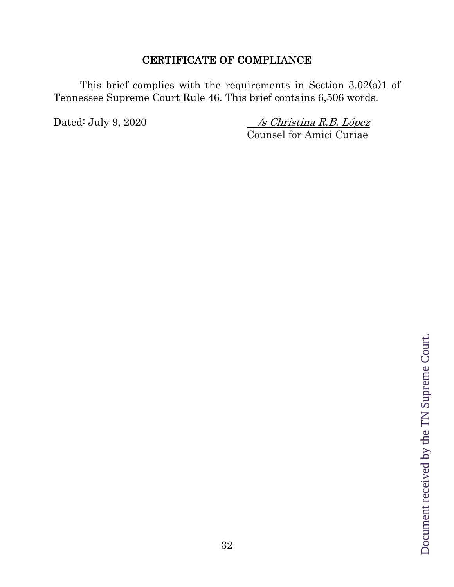# CERTIFICATE OF COMPLIANCE

This brief complies with the requirements in Section 3.02(a)1 of Tennessee Supreme Court Rule 46. This brief contains 6,506 words.

Dated: July 9, 2020 /s Christina R.B. López Counsel for Amici Curiae